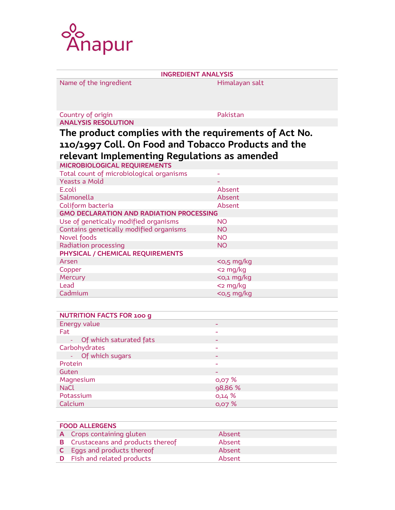

INGREDIENT ANALYSIS Name of the ingredient Himalayan salt Country of origin **Pakistan** ANALYSIS RESOLUTION The product complies with the requirements of Act No. 110/1997 Coll. On Food and Tobacco Products and the relevant Implementing Regulations as amended MICROBIOLOGICAL REQUIREMENTS Total count of microbiological organisms - Yeasts a Mold E.coli Absent Salmonella anno 1999, a comparatore della Absent Coliform bacteria and a series and a series and a series and a series and a series and a series and a series and a series and a series and a series and a series and a series and a series and a series and a series and a ser GMO DECLARATION AND RADIATION PROCESSING Use of genetically modified organisms NO Contains genetically modified organisms NO Novel foods NO Radiation processing NO PHYSICAL / CHEMICAL REQUIREMENTS Arsen **Arsen Arsen Arsen Arsen Arsen Arsen Arsen Arsen Arsen Arsen Arsen Arsen Arsen Arsen Arsen Arsen Arsen Arsen Arsen Arsen Arsen Arsen Arsen Arsen Arsen Arsen Arsen** Copper <2 mg/kg Mercury experience of the contract of the contract of the contract of the contract of the contract of the contract of the contract of the contract of the contract of the contract of the contract of the contract of the cont Lead <2 mg/kg Cadmium <0,5 mg/kg

| <b>NUTRITION FACTS FOR 100 g</b> |                          |
|----------------------------------|--------------------------|
| Energy value                     | $\overline{\phantom{0}}$ |
| Fat                              |                          |
| - Of which saturated fats        | $\overline{\phantom{0}}$ |
| Carbohydrates                    | ۰                        |
| - Of which sugars                | $\overline{\phantom{0}}$ |
| Protein                          |                          |
| Guten                            | $\overline{\phantom{0}}$ |
| Magnesium                        | 0,07 %                   |
| <b>NaCl</b>                      | 98,86 %                  |
| Potassium                        | 0,14%                    |
| Calcium                          | 0,07 %                   |

| <b>FOOD ALLERGENS</b> |                                           |        |  |
|-----------------------|-------------------------------------------|--------|--|
|                       | A Crops containing gluten                 | Absent |  |
|                       | <b>B</b> Crustaceans and products thereof | Absent |  |
|                       | <b>C</b> Eggs and products thereof        | Absent |  |
|                       | <b>D</b> Fish and related products        | Absent |  |